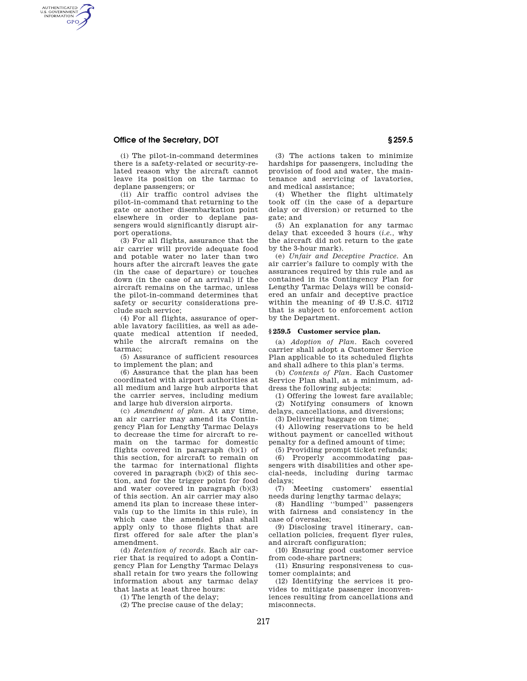# **Office of the Secretary, DOT § 259.5**

AUTHENTICATED<br>U.S. GOVERNMENT<br>INFORMATION **GPO** 

> (i) The pilot-in-command determines there is a safety-related or security-related reason why the aircraft cannot leave its position on the tarmac to deplane passengers; or

> (ii) Air traffic control advises the pilot-in-command that returning to the gate or another disembarkation point elsewhere in order to deplane passengers would significantly disrupt airport operations.

> (3) For all flights, assurance that the air carrier will provide adequate food and potable water no later than two hours after the aircraft leaves the gate (in the case of departure) or touches down (in the case of an arrival) if the aircraft remains on the tarmac, unless the pilot-in-command determines that safety or security considerations preclude such service;

> (4) For all flights, assurance of operable lavatory facilities, as well as adequate medical attention if needed, while the aircraft remains on the tarmac;

> (5) Assurance of sufficient resources to implement the plan; and

> (6) Assurance that the plan has been coordinated with airport authorities at all medium and large hub airports that the carrier serves, including medium and large hub diversion airports.

> (c) *Amendment of plan.* At any time, an air carrier may amend its Contingency Plan for Lengthy Tarmac Delays to decrease the time for aircraft to remain on the tarmac for domestic flights covered in paragraph (b)(1) of this section, for aircraft to remain on the tarmac for international flights covered in paragraph (b)(2) of this section, and for the trigger point for food and water covered in paragraph (b)(3) of this section. An air carrier may also amend its plan to increase these intervals (up to the limits in this rule), in which case the amended plan shall apply only to those flights that are first offered for sale after the plan's amendment.

> (d) *Retention of records.* Each air carrier that is required to adopt a Contingency Plan for Lengthy Tarmac Delays shall retain for two years the following information about any tarmac delay that lasts at least three hours:

(1) The length of the delay;

(2) The precise cause of the delay;

(3) The actions taken to minimize hardships for passengers, including the provision of food and water, the maintenance and servicing of lavatories, and medical assistance;

(4) Whether the flight ultimately took off (in the case of a departure delay or diversion) or returned to the gate; and

(5) An explanation for any tarmac delay that exceeded 3 hours (*i.e.,* why the aircraft did not return to the gate by the 3-hour mark).

(e) *Unfair and Deceptive Practice.* An air carrier's failure to comply with the assurances required by this rule and as contained in its Contingency Plan for Lengthy Tarmac Delays will be considered an unfair and deceptive practice within the meaning of 49 U.S.C. 41712 that is subject to enforcement action by the Department.

### **§ 259.5 Customer service plan.**

(a) *Adoption of Plan.* Each covered carrier shall adopt a Customer Service Plan applicable to its scheduled flights and shall adhere to this plan's terms.

(b) *Contents of Plan.* Each Customer Service Plan shall, at a minimum, address the following subjects:

(1) Offering the lowest fare available; (2) Notifying consumers of known delays, cancellations, and diversions;

(3) Delivering baggage on time;

(4) Allowing reservations to be held without payment or cancelled without penalty for a defined amount of time;

(5) Providing prompt ticket refunds; (6) Properly accommodating passengers with disabilities and other special-needs, including during tarmac delays;

(7) Meeting customers' essential needs during lengthy tarmac delays;

(8) Handling ''bumped'' passengers with fairness and consistency in the case of oversales;

(9) Disclosing travel itinerary, cancellation policies, frequent flyer rules, and aircraft configuration;

(10) Ensuring good customer service from code-share partners;

(11) Ensuring responsiveness to customer complaints; and

(12) Identifying the services it provides to mitigate passenger inconveniences resulting from cancellations and misconnects.